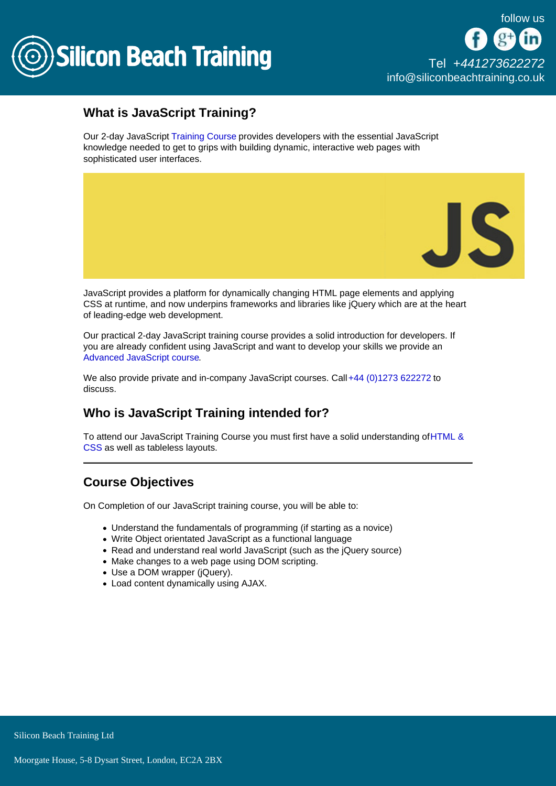

## What is JavaScript Training?

Our 2-day JavaScript [Training Course](/programming-training) provides developers with the essential JavaScript knowledge needed to get to grips with building dynamic, interactive web pages with sophisticated user interfaces.

JavaScript provides a platform for dynamically changing HTML page elements and applying CSS at runtime, and now underpins frameworks and libraries like jQuery which are at the heart of leading-edge web development.

Our practical 2-day JavaScript training course provides a solid introduction for developers. If you are already confident using JavaScript and want to develop your skills we provide an [Advanced JavaScript course.](/programming-training/advanced-javascript)

We also provide private and in-company JavaScript courses. Call [+44 \(0\)1273 622272](tel:441273622272) to discuss.

# Who is JavaScript Training intended for?

To attend our JavaScript Training Course you must first have a solid understanding of [HTML &](/web-design-training/html-css)  [CSS](/web-design-training/html-css) as well as tableless layouts.

# Course Objectives

On Completion of our JavaScript training course, you will be able to:

- Understand the fundamentals of programming (if starting as a novice)
- Write Object orientated JavaScript as a functional language
- Read and understand real world JavaScript (such as the jQuery source)
- Make changes to a web page using DOM scripting.
- Use a DOM wrapper (jQuery).
- Load content dynamically using AJAX.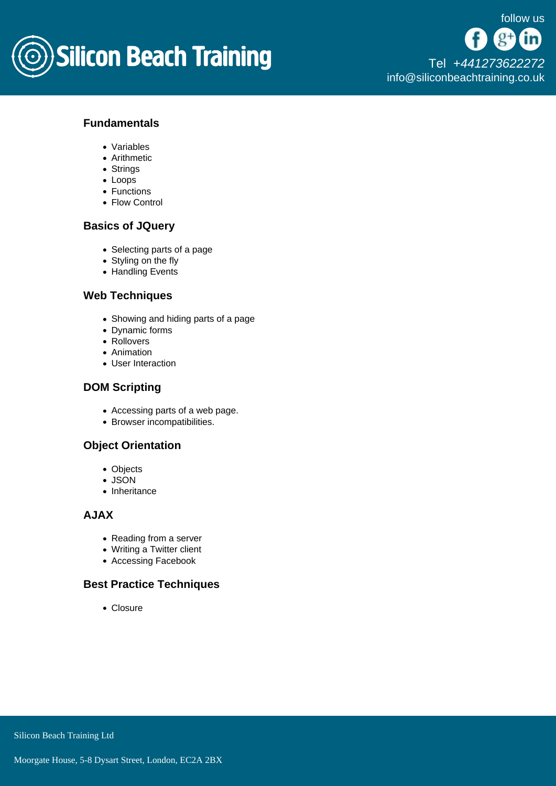

## Fundamentals

- Variables
- Arithmetic
- Strings
- Loops
- Functions
- Flow Control

### Basics of JQuery

- Selecting parts of a page
- Styling on the fly
- Handling Events

#### Web Techniques

- Showing and hiding parts of a page
- Dynamic forms
- Rollovers
- Animation
- User Interaction

#### DOM Scripting

- Accessing parts of a web page.
- Browser incompatibilities.

## Object Orientation

- Objects
- JSON
- Inheritance

#### AJAX

- Reading from a server
- Writing a Twitter client
- Accessing Facebook

## Best Practice Techniques

• Closure